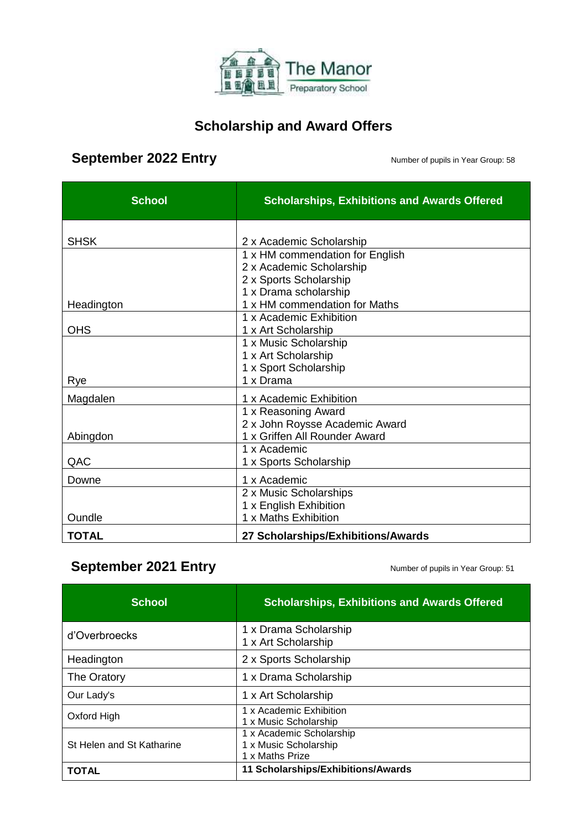

#### **Scholarship and Award Offers**

#### **September 2022 Entry September 2022 Entry**

| <b>School</b> | <b>Scholarships, Exhibitions and Awards Offered</b> |
|---------------|-----------------------------------------------------|
| <b>SHSK</b>   | 2 x Academic Scholarship                            |
|               | 1 x HM commendation for English                     |
|               | 2 x Academic Scholarship                            |
|               | 2 x Sports Scholarship                              |
|               | 1 x Drama scholarship                               |
| Headington    | 1 x HM commendation for Maths                       |
|               | 1 x Academic Exhibition                             |
| <b>OHS</b>    | 1 x Art Scholarship                                 |
|               | 1 x Music Scholarship                               |
|               | 1 x Art Scholarship                                 |
|               | 1 x Sport Scholarship                               |
| Rye           | 1 x Drama                                           |
| Magdalen      | 1 x Academic Exhibition                             |
|               | 1 x Reasoning Award                                 |
|               | 2 x John Roysse Academic Award                      |
| Abingdon      | 1 x Griffen All Rounder Award                       |
|               | 1 x Academic                                        |
| QAC           | 1 x Sports Scholarship                              |
| Downe         | 1 x Academic                                        |
|               | 2 x Music Scholarships                              |
|               | 1 x English Exhibition                              |
| Oundle        | 1 x Maths Exhibition                                |
| TOTAL         | 27 Scholarships/Exhibitions/Awards                  |

### **September 2021 Entry September 2021 Entry Number of pupils in Year Group: 51**

| <b>School</b>             | <b>Scholarships, Exhibitions and Awards Offered</b>                  |
|---------------------------|----------------------------------------------------------------------|
| d'Overbroecks             | 1 x Drama Scholarship<br>1 x Art Scholarship                         |
| Headington                | 2 x Sports Scholarship                                               |
| The Oratory               | 1 x Drama Scholarship                                                |
| Our Lady's                | 1 x Art Scholarship                                                  |
| Oxford High               | 1 x Academic Exhibition<br>1 x Music Scholarship                     |
| St Helen and St Katharine | 1 x Academic Scholarship<br>1 x Music Scholarship<br>1 x Maths Prize |
| ΤΟΤΑL                     | 11 Scholarships/Exhibitions/Awards                                   |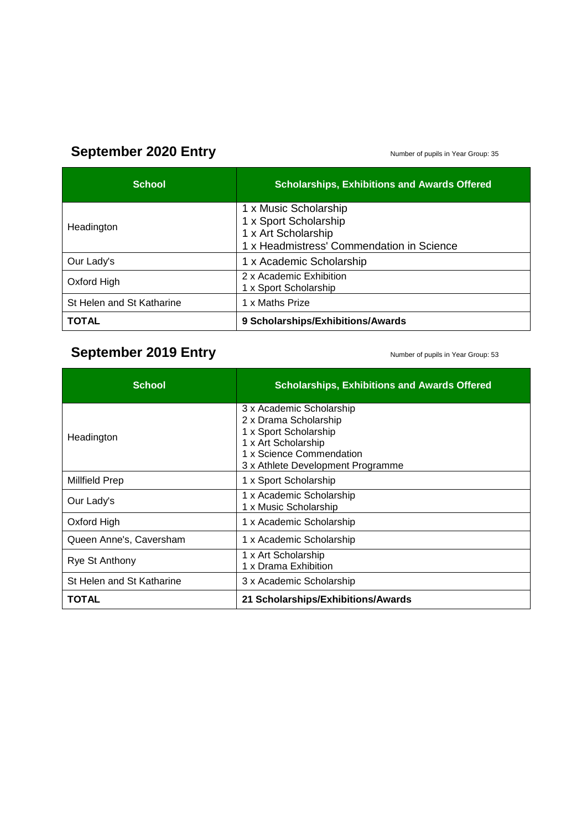# September 2020 Entry **September 2020** Entry

| <b>School</b>             | <b>Scholarships, Exhibitions and Awards Offered</b>                                                                |
|---------------------------|--------------------------------------------------------------------------------------------------------------------|
| Headington                | 1 x Music Scholarship<br>1 x Sport Scholarship<br>1 x Art Scholarship<br>1 x Headmistress' Commendation in Science |
| Our Lady's                | 1 x Academic Scholarship                                                                                           |
| Oxford High               | 2 x Academic Exhibition<br>1 x Sport Scholarship                                                                   |
| St Helen and St Katharine | 1 x Maths Prize                                                                                                    |
| <b>TOTAL</b>              | 9 Scholarships/Exhibitions/Awards                                                                                  |

# September 2019 Entry **September 2019** Entry

| <b>School</b>             | <b>Scholarships, Exhibitions and Awards Offered</b>                                                                                                                |
|---------------------------|--------------------------------------------------------------------------------------------------------------------------------------------------------------------|
| Headington                | 3 x Academic Scholarship<br>2 x Drama Scholarship<br>1 x Sport Scholarship<br>1 x Art Scholarship<br>1 x Science Commendation<br>3 x Athlete Development Programme |
| <b>Millfield Prep</b>     | 1 x Sport Scholarship                                                                                                                                              |
| Our Lady's                | 1 x Academic Scholarship<br>1 x Music Scholarship                                                                                                                  |
| Oxford High               | 1 x Academic Scholarship                                                                                                                                           |
| Queen Anne's, Caversham   | 1 x Academic Scholarship                                                                                                                                           |
| Rye St Anthony            | 1 x Art Scholarship<br>1 x Drama Exhibition                                                                                                                        |
| St Helen and St Katharine | 3 x Academic Scholarship                                                                                                                                           |
| <b>TOTAL</b>              | 21 Scholarships/Exhibitions/Awards                                                                                                                                 |